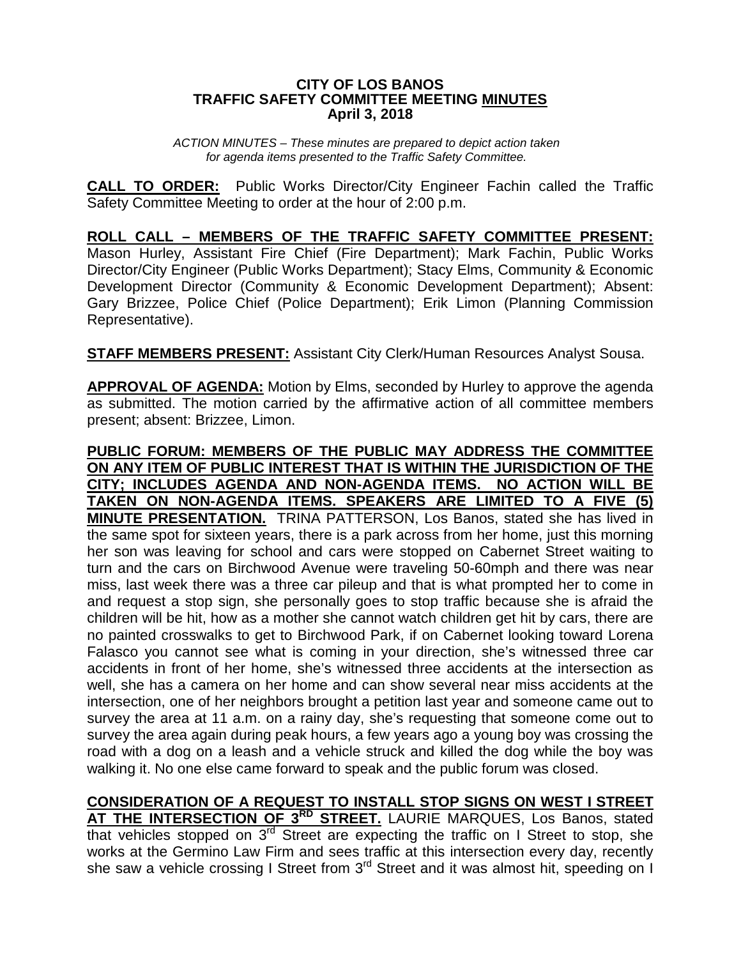## **CITY OF LOS BANOS TRAFFIC SAFETY COMMITTEE MEETING MINUTES April 3, 2018**

*ACTION MINUTES – These minutes are prepared to depict action taken for agenda items presented to the Traffic Safety Committee.*

**CALL TO ORDER:** Public Works Director/City Engineer Fachin called the Traffic Safety Committee Meeting to order at the hour of 2:00 p.m.

**ROLL CALL – MEMBERS OF THE TRAFFIC SAFETY COMMITTEE PRESENT:** Mason Hurley, Assistant Fire Chief (Fire Department); Mark Fachin, Public Works Director/City Engineer (Public Works Department); Stacy Elms, Community & Economic Development Director (Community & Economic Development Department); Absent: Gary Brizzee, Police Chief (Police Department); Erik Limon (Planning Commission Representative).

**STAFF MEMBERS PRESENT:** Assistant City Clerk/Human Resources Analyst Sousa.

**APPROVAL OF AGENDA:** Motion by Elms, seconded by Hurley to approve the agenda as submitted. The motion carried by the affirmative action of all committee members present; absent: Brizzee, Limon.

**PUBLIC FORUM: MEMBERS OF THE PUBLIC MAY ADDRESS THE COMMITTEE ON ANY ITEM OF PUBLIC INTEREST THAT IS WITHIN THE JURISDICTION OF THE CITY; INCLUDES AGENDA AND NON-AGENDA ITEMS. NO ACTION WILL BE TAKEN ON NON-AGENDA ITEMS. SPEAKERS ARE LIMITED TO A FIVE (5) MINUTE PRESENTATION.** TRINA PATTERSON, Los Banos, stated she has lived in the same spot for sixteen years, there is a park across from her home, just this morning her son was leaving for school and cars were stopped on Cabernet Street waiting to turn and the cars on Birchwood Avenue were traveling 50-60mph and there was near miss, last week there was a three car pileup and that is what prompted her to come in and request a stop sign, she personally goes to stop traffic because she is afraid the children will be hit, how as a mother she cannot watch children get hit by cars, there are no painted crosswalks to get to Birchwood Park, if on Cabernet looking toward Lorena Falasco you cannot see what is coming in your direction, she's witnessed three car accidents in front of her home, she's witnessed three accidents at the intersection as well, she has a camera on her home and can show several near miss accidents at the intersection, one of her neighbors brought a petition last year and someone came out to survey the area at 11 a.m. on a rainy day, she's requesting that someone come out to survey the area again during peak hours, a few years ago a young boy was crossing the road with a dog on a leash and a vehicle struck and killed the dog while the boy was walking it. No one else came forward to speak and the public forum was closed.

**CONSIDERATION OF A REQUEST TO INSTALL STOP SIGNS ON WEST I STREET AT THE INTERSECTION OF 3RD STREET.** LAURIE MARQUES, Los Banos, stated that vehicles stopped on  $3^{rd}$  Street are expecting the traffic on I Street to stop, she works at the Germino Law Firm and sees traffic at this intersection every day, recently she saw a vehicle crossing I Street from 3<sup>rd</sup> Street and it was almost hit, speeding on I